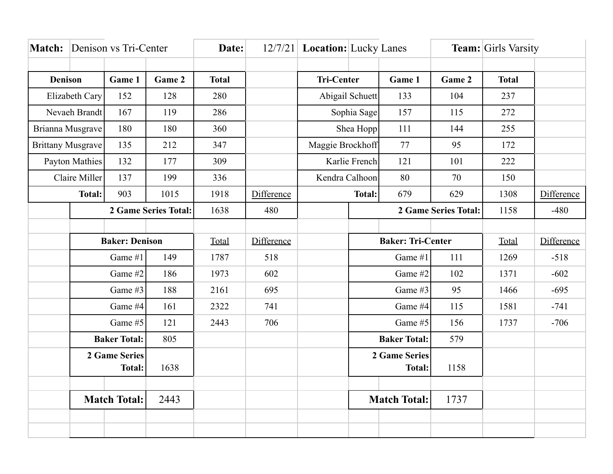|                |                             | Match: Denison vs Tri-Center |        | Date:        |            |                   | 12/7/21 Location: Lucky Lanes |                     | <b>Team:</b> Girls Varsity  |              |            |
|----------------|-----------------------------|------------------------------|--------|--------------|------------|-------------------|-------------------------------|---------------------|-----------------------------|--------------|------------|
|                |                             |                              |        |              |            |                   |                               |                     |                             |              |            |
| <b>Denison</b> |                             | Game 1                       | Game 2 | <b>Total</b> |            | <b>Tri-Center</b> |                               | Game 1              | Game 2                      | <b>Total</b> |            |
|                | Elizabeth Cary              | 152                          | 128    | 280          |            |                   | Abigail Schuett               | 133                 | 104                         | 237          |            |
|                | Nevaeh Brandt               | 167                          | 119    | 286          |            |                   | Sophia Sage                   | 157                 | 115                         | 272          |            |
|                | Brianna Musgrave            | 180                          | 180    | 360          |            |                   | Shea Hopp                     | 111                 | 144                         | 255          |            |
|                | <b>Brittany Musgrave</b>    | 135                          | 212    | 347          |            | Maggie Brockhoff  |                               | 77                  | 95                          | 172          |            |
|                | Payton Mathies              | 132                          | 177    | 309          |            | Karlie French     |                               | 121                 | 101                         | 222          |            |
| Claire Miller  |                             | 137                          | 199    | 336          |            | Kendra Calhoon    |                               | 80                  | 70                          | 150          |            |
|                | <b>Total:</b>               | 903                          | 1015   | 1918         | Difference |                   | <b>Total:</b>                 | 679                 | 629                         | 1308         | Difference |
|                | <b>2 Game Series Total:</b> |                              |        | 1638         | 480        |                   |                               |                     | <b>2 Game Series Total:</b> | 1158         | $-480$     |
|                |                             |                              |        |              |            |                   |                               |                     |                             |              |            |
|                | <b>Baker: Denison</b>       |                              |        | Total        | Difference |                   | <b>Baker: Tri-Center</b>      |                     |                             | Total        | Difference |
|                | Game #1                     |                              | 149    | 1787         | 518        |                   | Game #1                       |                     | 111                         | 1269         | $-518$     |
|                | Game #2                     |                              | 186    | 1973         | 602        |                   | Game #2                       |                     | 102                         | 1371         | $-602$     |
|                | Game #3                     |                              | 188    | 2161         | 695        |                   | Game #3                       |                     | 95                          | 1466         | $-695$     |
|                |                             | Game #4                      | 161    | 2322         | 741        |                   | Game #4                       |                     | 115                         | 1581         | $-741$     |
|                | Game #5                     |                              | 121    | 2443         | 706        |                   | Game #5                       |                     | 156                         | 1737         | $-706$     |
|                | <b>Baker Total:</b>         |                              | 805    |              |            |                   | <b>Baker Total:</b>           |                     | 579                         |              |            |
|                | <b>2 Game Series</b>        |                              |        |              |            |                   | 2 Game Series                 |                     |                             |              |            |
|                | <b>Total:</b>               |                              | 1638   |              |            |                   |                               | <b>Total:</b>       | 1158                        |              |            |
|                |                             |                              |        |              |            |                   |                               |                     |                             |              |            |
|                | <b>Match Total:</b>         |                              | 2443   |              |            |                   |                               | <b>Match Total:</b> | 1737                        |              |            |
|                |                             |                              |        |              |            |                   |                               |                     |                             |              |            |
|                |                             |                              |        |              |            |                   |                               |                     |                             |              |            |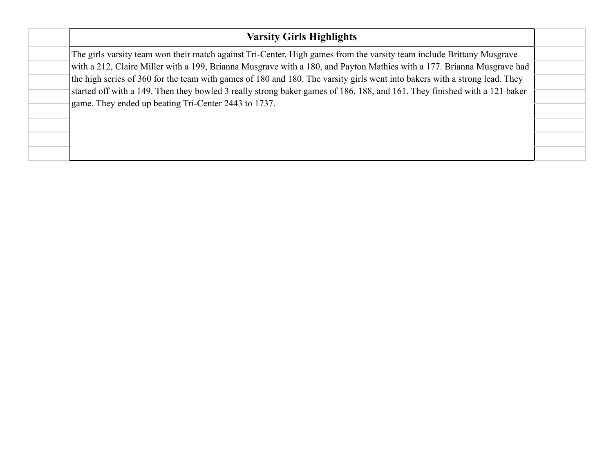| <b>Varsity Girls Highlights</b>                                                                                                                                                                                                                      |  |  |  |  |  |  |  |
|------------------------------------------------------------------------------------------------------------------------------------------------------------------------------------------------------------------------------------------------------|--|--|--|--|--|--|--|
| The girls varsity team won their match against Tri-Center. High games from the varsity team include Brittany Musgrave                                                                                                                                |  |  |  |  |  |  |  |
| with a 212, Claire Miller with a 199, Brianna Musgrave with a 180, and Payton Mathies with a 177. Brianna Musgrave had<br>the high series of 360 for the team with games of 180 and 180. The varsity girls went into bakers with a strong lead. They |  |  |  |  |  |  |  |
| started off with a 149. Then they bowled 3 really strong baker games of 186, 188, and 161. They finished with a 121 baker                                                                                                                            |  |  |  |  |  |  |  |
| game. They ended up beating Tri-Center 2443 to 1737.                                                                                                                                                                                                 |  |  |  |  |  |  |  |
|                                                                                                                                                                                                                                                      |  |  |  |  |  |  |  |
|                                                                                                                                                                                                                                                      |  |  |  |  |  |  |  |
|                                                                                                                                                                                                                                                      |  |  |  |  |  |  |  |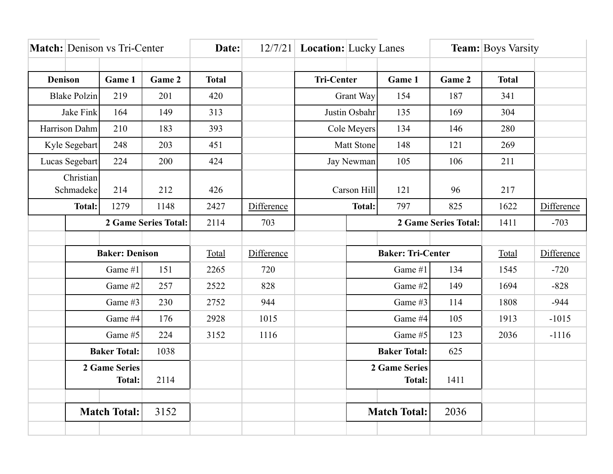| <b>Match:</b> Denison vs Tri-Center |                        | Date:               |                      | 12/7/21 Location: Lucky Lanes |            | <b>Team:</b> Boys Varsity |                          |                     |                      |              |                      |
|-------------------------------------|------------------------|---------------------|----------------------|-------------------------------|------------|---------------------------|--------------------------|---------------------|----------------------|--------------|----------------------|
|                                     |                        |                     |                      |                               |            |                           |                          |                     |                      |              |                      |
| <b>Denison</b>                      |                        | Game 1              | Game 2               | <b>Total</b>                  |            | <b>Tri-Center</b>         |                          | Game 1              | Game 2               | <b>Total</b> |                      |
|                                     | <b>Blake Polzin</b>    | 219                 | 201                  | 420                           |            | Grant Way                 |                          | 154                 | 187                  | 341          |                      |
|                                     | <b>Jake Fink</b>       | 164                 | 149                  | 313                           |            | Justin Osbahr             |                          | 135                 | 169                  | 304          |                      |
|                                     | Harrison Dahm          | 210                 | 183                  | 393                           |            | Cole Meyers               |                          | 134                 | 146                  | 280          |                      |
|                                     | Kyle Segebart          | 248                 | 203                  | 451                           |            | Matt Stone                |                          | 148                 | 121                  | 269          |                      |
|                                     | Lucas Segebart         | 224                 | 200                  | 424                           |            | Jay Newman                |                          | 105                 | 106                  | 211          |                      |
|                                     | Christian<br>Schmadeke | 214                 | 212                  | 426                           |            |                           | Carson Hill              | 121                 | 96                   | 217          |                      |
|                                     | <b>Total:</b>          | 1279                | 1148                 | 2427                          | Difference |                           | Total:                   | 797                 | 825                  | 1622         |                      |
|                                     |                        |                     | 2 Game Series Total: | 2114                          | 703        |                           |                          |                     | 2 Game Series Total: | 1411         | Difference<br>$-703$ |
|                                     |                        |                     |                      |                               |            |                           |                          |                     |                      |              |                      |
| <b>Baker: Denison</b>               |                        |                     | Total                | Difference                    |            |                           | <b>Baker: Tri-Center</b> |                     | Total                | Difference   |                      |
|                                     | Game #1                |                     | 151                  | 2265                          | 720        |                           | Game #1                  |                     | 134                  | 1545         | $-720$               |
|                                     |                        |                     |                      |                               |            |                           |                          |                     |                      |              |                      |
| Game #2                             |                        | 257                 | 2522                 | 828                           |            | Game #2                   |                          | 149                 | 1694                 | $-828$       |                      |
| Game #3                             |                        | 230                 | 2752                 | 944                           |            | Game #3                   |                          | 114                 | 1808                 | $-944$       |                      |
| Game #4                             |                        | 176                 | 2928                 | 1015                          |            | Game #4                   |                          | 105                 | 1913                 | $-1015$      |                      |
| Game #5                             |                        | 224                 | 3152                 | 1116                          |            | Game #5                   |                          | 123                 | 2036                 | $-1116$      |                      |
| <b>Baker Total:</b>                 |                        |                     | 1038                 |                               |            |                           | <b>Baker Total:</b>      |                     | 625                  |              |                      |
| 2 Game Series                       |                        |                     |                      |                               |            |                           |                          | 2 Game Series       |                      |              |                      |
| <b>Total:</b>                       |                        | 2114                |                      |                               |            |                           | <b>Total:</b>            | 1411                |                      |              |                      |
|                                     |                        |                     |                      |                               |            |                           |                          |                     |                      |              |                      |
|                                     |                        | <b>Match Total:</b> | 3152                 |                               |            |                           |                          | <b>Match Total:</b> | 2036                 |              |                      |
|                                     |                        |                     |                      |                               |            |                           |                          |                     |                      |              |                      |